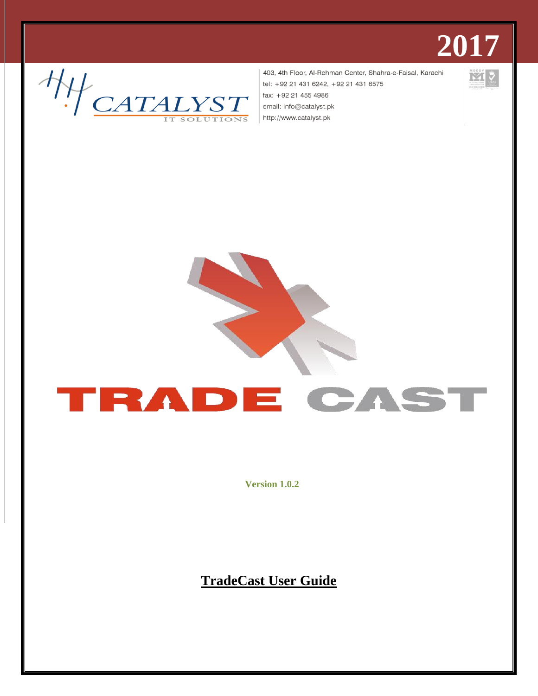# **2017**

**INSURANCE** 



403, 4th Floor, Al-Rehman Center, Shahra-e-Faisal, Karachi tel: +92 21 431 6242, +92 21 431 6575 fax: +92 21 455 4986 email: info@catalyst.pk http://www.catalyst.pk



**Version 1.0.2**

**TradeCast User Guide**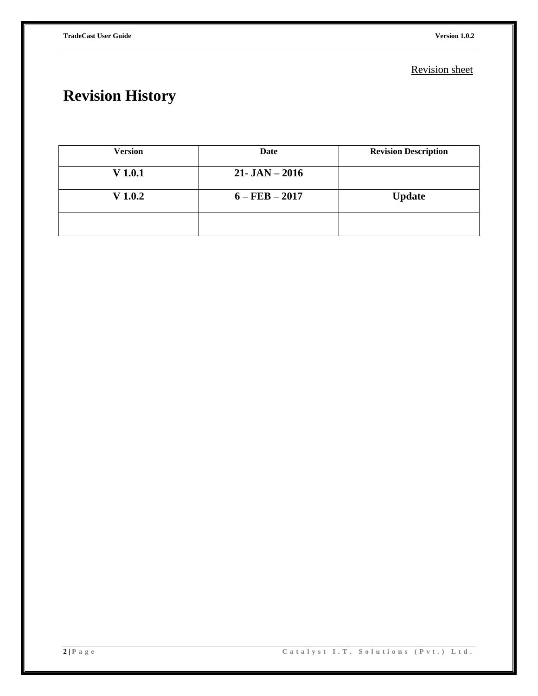#### Revision sheet

## **Revision History**

| <b>Version</b> | Date              | <b>Revision Description</b> |
|----------------|-------------------|-----------------------------|
| V 1.0.1        | $21 - JAN - 2016$ |                             |
| $V$ 1.0.2      | $6 - FEB - 2017$  | <b>Update</b>               |
|                |                   |                             |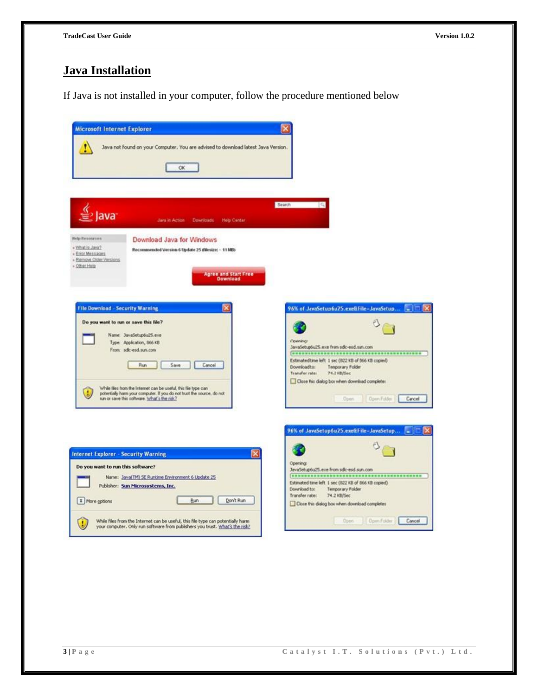#### **Java Installation**

If Java is not installed in your computer, follow the procedure mentioned below

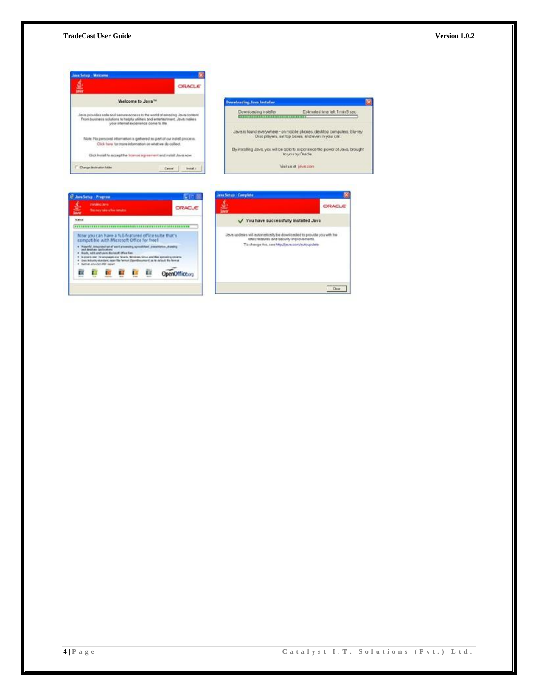÷.

**Max** 





**CRACLE** 

 $Cov$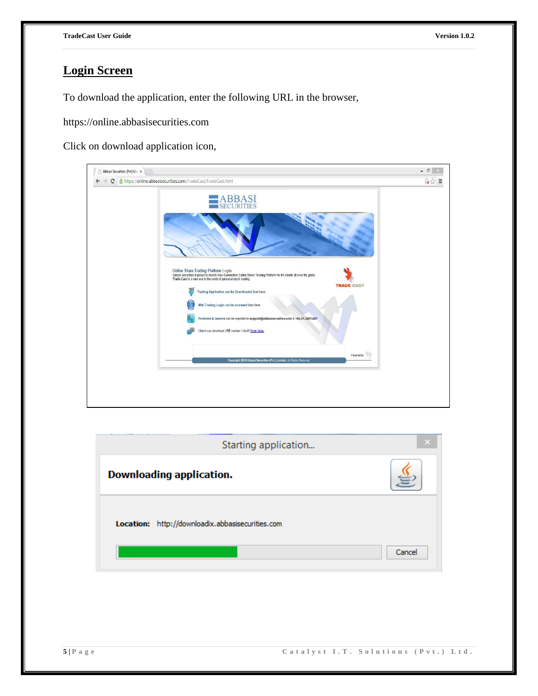#### **Login Screen**

To download the application, enter the following URL in the browser,

https://online.abbasisecurities.com

Click on download application icon,

| C   https://online.abbasisecurities.com/TradeCast/TradeCast.html<br><b>ABBASI</b><br>SECURITIES<br>Online Share Trading Platform Login<br>Abbasi securities is proud to launch New Generation Online Share Trading Platform for it's clients all over the globe.<br>Trade Cast is a new era in the world of personal stock trading.<br><b>TRADE CAST</b><br>Trading Application can be Downloaded from here.<br>Web Trading Login can be accessed from here.<br>Problems & Queries can be reported to support@abbasisecurities.com & +92-21-32415207<br>Client can download JRE version 1.6u45 from here.<br>Powered by: 1/1/<br>Copyright 2010 Abbasi Securities (Pvt.) Limited. All Rights Reserved | Abbasi Securities (Pvt) Ltd x | - 0 |
|-------------------------------------------------------------------------------------------------------------------------------------------------------------------------------------------------------------------------------------------------------------------------------------------------------------------------------------------------------------------------------------------------------------------------------------------------------------------------------------------------------------------------------------------------------------------------------------------------------------------------------------------------------------------------------------------------------|-------------------------------|-----|
|                                                                                                                                                                                                                                                                                                                                                                                                                                                                                                                                                                                                                                                                                                       |                               | 改公  |
|                                                                                                                                                                                                                                                                                                                                                                                                                                                                                                                                                                                                                                                                                                       |                               |     |
|                                                                                                                                                                                                                                                                                                                                                                                                                                                                                                                                                                                                                                                                                                       |                               |     |
|                                                                                                                                                                                                                                                                                                                                                                                                                                                                                                                                                                                                                                                                                                       |                               |     |
|                                                                                                                                                                                                                                                                                                                                                                                                                                                                                                                                                                                                                                                                                                       |                               |     |
|                                                                                                                                                                                                                                                                                                                                                                                                                                                                                                                                                                                                                                                                                                       |                               |     |
|                                                                                                                                                                                                                                                                                                                                                                                                                                                                                                                                                                                                                                                                                                       |                               |     |
|                                                                                                                                                                                                                                                                                                                                                                                                                                                                                                                                                                                                                                                                                                       |                               |     |
|                                                                                                                                                                                                                                                                                                                                                                                                                                                                                                                                                                                                                                                                                                       |                               |     |
|                                                                                                                                                                                                                                                                                                                                                                                                                                                                                                                                                                                                                                                                                                       |                               |     |

| Starting application                             |        |
|--------------------------------------------------|--------|
| Downloading application.                         |        |
| Location: http://downloadix.abbasisecurities.com | Cancel |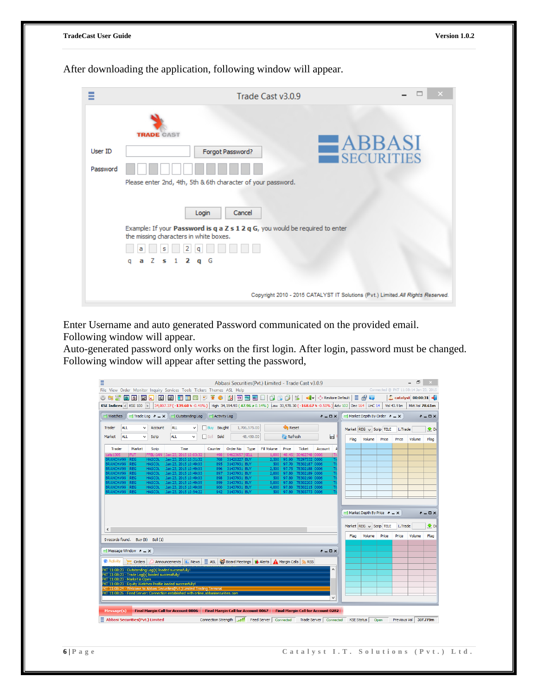| <b>TradeCast User Guide</b> | Version 1.0.2 |
|-----------------------------|---------------|
|-----------------------------|---------------|

After downloading the application, following window will appear.

| Ξ                    | Trade Cast v3.0.9                                                                                                                                                                                                                                            |  |
|----------------------|--------------------------------------------------------------------------------------------------------------------------------------------------------------------------------------------------------------------------------------------------------------|--|
| Liser ID<br>Password | <b>TRADE CAST</b><br>$-$ ABBASI<br>Forgot Password?<br><b>SECURITIES</b><br>Please enter 2nd, 4th, 5th & 6th character of your password.                                                                                                                     |  |
|                      | Cancel<br>Login<br>Example: If your Password is q a Z s 1 2 q G, you would be required to enter<br>the missing characters in white boxes.<br>a<br>s<br>a Z s 1 2 q G<br>a<br>Copyright 2010 - 2015 CATALYST IT Solutions (Pvt.) Limited.All Rights Reserved. |  |

Enter Username and auto generated Password communicated on the provided email. Following window will appear.

Auto-generated password only works on the first login. After login, password must be changed. Following window will appear after setting the password,

| $\checkmark$<br>Market<br><b>FUT</b><br><b>REG</b><br><b>HASCOL</b><br><b>HASCOL</b><br><b>REG</b>                                                                 | Scrip<br>Scrip                                                                    | <b>ALL</b><br>Time<br>FFBL-JAN   Jan 23, 2015 10:03:32                            | $\checkmark$ | Sold<br>Sell<br>Counter                                                                                                   | Order No      | 48,450.00 |                                                                                                                                                    | <b>Kal</b> Refresh                    |                                           |              | ы                                                                                 |                                                  |        |       |                         |                               |                      |
|--------------------------------------------------------------------------------------------------------------------------------------------------------------------|-----------------------------------------------------------------------------------|-----------------------------------------------------------------------------------|--------------|---------------------------------------------------------------------------------------------------------------------------|---------------|-----------|----------------------------------------------------------------------------------------------------------------------------------------------------|---------------------------------------|-------------------------------------------|--------------|-----------------------------------------------------------------------------------|--------------------------------------------------|--------|-------|-------------------------|-------------------------------|----------------------|
|                                                                                                                                                                    |                                                                                   |                                                                                   |              |                                                                                                                           |               |           |                                                                                                                                                    |                                       |                                           |              |                                                                                   | Flag                                             | Volume | Price | Price                   | Volume                        | Flag                 |
|                                                                                                                                                                    |                                                                                   |                                                                                   |              |                                                                                                                           |               | Type      | <b>Fill Volume</b>                                                                                                                                 | Price                                 | <b>Ticket</b>                             | Account      | Α                                                                                 |                                                  |        |       |                         |                               |                      |
|                                                                                                                                                                    |                                                                                   |                                                                                   |              | 498                                                                                                                       | 64623657 SELL |           | 1,000                                                                                                                                              |                                       | 48.45 30462748 0006                       |              | Tr.                                                                               |                                                  |        |       |                         |                               |                      |
|                                                                                                                                                                    |                                                                                   | Jan 23, 2015 10:31:32                                                             |              | 768                                                                                                                       | 31426227 BUY  |           | 2,500                                                                                                                                              | 95.90                                 | 78297332 0006                             |              | Tr                                                                                |                                                  |        |       |                         |                               |                      |
|                                                                                                                                                                    |                                                                                   | Jan 23, 2015 10:49:03                                                             |              | 895                                                                                                                       | 31437931 BUY  |           | 500                                                                                                                                                | 97.70                                 | 78302187 0006                             |              | $\overline{\text{Tr}}$                                                            |                                                  |        |       |                         |                               |                      |
| BRANCH#99 REG                                                                                                                                                      | <b>HASCOL</b>                                                                     | Jan 23, 2015 10:49:03                                                             |              | 896                                                                                                                       | 31437931 BUY  |           | 2,500                                                                                                                                              | 97.75                                 | 78302188 0006                             |              | Πr                                                                                |                                                  |        |       |                         |                               |                      |
|                                                                                                                                                                    |                                                                                   |                                                                                   |              |                                                                                                                           |               |           |                                                                                                                                                    |                                       |                                           |              |                                                                                   |                                                  |        |       |                         |                               |                      |
|                                                                                                                                                                    |                                                                                   |                                                                                   |              |                                                                                                                           |               |           |                                                                                                                                                    |                                       |                                           |              |                                                                                   |                                                  |        |       |                         |                               |                      |
|                                                                                                                                                                    |                                                                                   |                                                                                   |              |                                                                                                                           |               |           |                                                                                                                                                    |                                       |                                           |              |                                                                                   |                                                  |        |       |                         |                               |                      |
|                                                                                                                                                                    |                                                                                   |                                                                                   |              |                                                                                                                           |               |           |                                                                                                                                                    |                                       |                                           |              |                                                                                   |                                                  |        |       |                         |                               |                      |
|                                                                                                                                                                    |                                                                                   |                                                                                   |              |                                                                                                                           |               |           |                                                                                                                                                    |                                       |                                           |              |                                                                                   |                                                  |        |       |                         |                               |                      |
|                                                                                                                                                                    |                                                                                   |                                                                                   |              |                                                                                                                           |               |           |                                                                                                                                                    |                                       |                                           |              |                                                                                   |                                                  |        |       | L.Trade                 |                               |                      |
|                                                                                                                                                                    |                                                                                   |                                                                                   |              |                                                                                                                           |               |           |                                                                                                                                                    |                                       |                                           |              |                                                                                   |                                                  |        |       |                         |                               |                      |
| 9 records found. Buy (8) Sell (1)                                                                                                                                  |                                                                                   |                                                                                   |              |                                                                                                                           |               |           |                                                                                                                                                    |                                       |                                           |              |                                                                                   | Flag                                             | Volume | Price | Price                   | Volume                        |                      |
|                                                                                                                                                                    |                                                                                   |                                                                                   |              |                                                                                                                           |               |           |                                                                                                                                                    |                                       |                                           |              |                                                                                   |                                                  |        |       |                         |                               | $\bullet$ De<br>Flag |
|                                                                                                                                                                    |                                                                                   |                                                                                   |              |                                                                                                                           |               |           |                                                                                                                                                    |                                       |                                           | $A = \Box X$ |                                                                                   |                                                  |        |       |                         |                               |                      |
| Orders                                                                                                                                                             |                                                                                   |                                                                                   |              |                                                                                                                           |               |           | Announcements $\boxed{0}$ News $\boxed{\equiv}$ ASL $\frac{1000}{1000}$ Board Meetings $\boxed{1}$ Alerts $\boxed{2}$ Margin Calls $\boxed{3}$ RSS |                                       |                                           |              |                                                                                   |                                                  |        |       |                         |                               |                      |
| PKT 11:08:23 - Outstanding Log(s) loaded successfully!                                                                                                             |                                                                                   |                                                                                   |              |                                                                                                                           |               |           |                                                                                                                                                    |                                       |                                           |              | $\hat{\phantom{a}}$                                                               |                                                  |        |       |                         |                               |                      |
| PKT 11:08:23 - Trade Log(s) loaded successfully!                                                                                                                   |                                                                                   |                                                                                   |              |                                                                                                                           |               |           |                                                                                                                                                    |                                       |                                           |              |                                                                                   |                                                  |        |       |                         |                               |                      |
| PKT 11:08:23 - Market is Open                                                                                                                                      |                                                                                   |                                                                                   |              |                                                                                                                           |               |           |                                                                                                                                                    |                                       |                                           |              |                                                                                   |                                                  |        |       |                         |                               |                      |
| PKT 11:08:23 - Equity Watches Profile loaded successfully!                                                                                                         |                                                                                   |                                                                                   |              |                                                                                                                           |               |           |                                                                                                                                                    |                                       |                                           |              |                                                                                   |                                                  |        |       |                         |                               |                      |
| PKT 11:08:24 - Welcome to Abbasi Securities(Pvt.) Limited Trading Termina<br>PKT 11:08:26 - Feed Server: Connection established with online, abbasisecurities, com |                                                                                   |                                                                                   |              |                                                                                                                           |               |           |                                                                                                                                                    |                                       |                                           |              |                                                                                   |                                                  |        |       |                         |                               |                      |
|                                                                                                                                                                    | BRANCH#99 REG<br>BRANCH#99 REG<br>BRANCH#99 REG<br>BRANCH#99 REG<br>BRANCH#99 REG | <b>HASCOL</b><br><b>HASCOL</b><br><b>HASCOL</b><br><b>HASCOL</b><br><b>HASCOL</b> |              | Jan 23, 2015 10:49:03<br>Jan 23, 2015 10:49:03<br>Jan 23, 2015 10:49:05<br>Jan 23, 2015 10:49:08<br>Jan 23, 2015 10:54:22 | 898           | 897       | 31437931 BUY<br>31437931 BUY<br>899 31437931 BUY<br>900 31437931 BUY<br>942 31437931 BUY                                                           | 2,000<br>500<br>5,000<br>4,000<br>500 | 97.80<br>97.80<br>97.80<br>97.80<br>97.80 |              | 78302189 0006<br>78302190 0006<br>78302203 0006<br>78302215 0006<br>78303773 0006 | $\overline{\mathrm{h}}$<br>Tr<br>Tr<br>Tr<br>Τ'n |        |       | Market REG v Scrip TELE | Market Depth By Price $N = X$ | ネニロメ                 |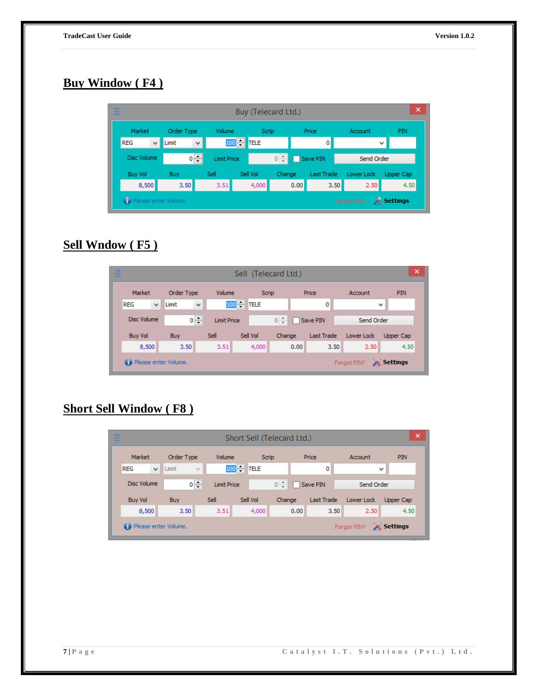## **Buy Window ( F4 )**

| Buy (Telecard Ltd.)                            |              |                                    |                             |                    |          |        |        |       | ×            |            |           |         |     |
|------------------------------------------------|--------------|------------------------------------|-----------------------------|--------------------|----------|--------|--------|-------|--------------|------------|-----------|---------|-----|
| Market                                         |              | Order Type                         |                             |                    |          | Volume |        | Scrip |              |            | Price     | Account | PIN |
| <b>REG</b>                                     | $\checkmark$ | $100$ $-$<br>Limit<br>$\checkmark$ |                             | <b>TELE</b>        |          | 0      |        |       | $\checkmark$ |            |           |         |     |
| Disc Volume                                    |              |                                    | $0\left \frac{1}{x}\right $ | <b>Limit Price</b> |          |        |        |       | Save PIN     | Send Order |           |         |     |
| <b>Buy Vol</b>                                 |              | Buy                                |                             | Sell               | Sell Vol |        | Change |       | Last Trade   | Lower Lock | Upper Cap |         |     |
| 8,500                                          |              | 3.50                               |                             | 3.51               |          | 4,000  |        | 0.00  | 3.50         | 2.50       | 4.50      |         |     |
| Forgot PIN? X Settings<br>Please enter Volume. |              |                                    |                             |                    |          |        |        |       |              |            |           |         |     |

### **Sell Wndow ( F5 )**

| Ξ | Sell (Telecard Ltd.)                                     |                 |                    |                    |          |            |              |            |  |
|---|----------------------------------------------------------|-----------------|--------------------|--------------------|----------|------------|--------------|------------|--|
|   | Market                                                   | Order Type      | Volume             | Scrip              |          | Price      | Account      | <b>PIN</b> |  |
|   | <b>REG</b><br>v                                          | Limit           | v                  | 100<br><b>TELE</b> |          | 0          |              | v          |  |
|   | <b>Disc Volume</b>                                       | $0 \frac{1}{2}$ | <b>Limit Price</b> |                    | $0 \div$ | Save PIN   | Send Order   |            |  |
|   | <b>Buy Vol</b>                                           | <b>Buy</b>      | Sell               | Sell Vol           | Change   | Last Trade | Lower Lock   | Upper Cap  |  |
|   | 8,500                                                    | 3.50            | 3.51               | 4,000              |          | 0.00       | 2.50<br>3.50 | 4.50       |  |
|   | Settings<br><b>C</b> Please enter Volume.<br>Forgot PIN? |                 |                    |                    |          |            |              |            |  |

## **Short Sell Window ( F8 )**

| Ξ |                                                           | ×,<br>Short Sell (Telecard Ltd.) |                    |          |                     |            |            |            |  |  |
|---|-----------------------------------------------------------|----------------------------------|--------------------|----------|---------------------|------------|------------|------------|--|--|
|   | Market                                                    | Order Type                       | Volume             | Scrip    |                     | Price      | Account    | <b>PIN</b> |  |  |
|   | <b>REG</b><br>v                                           | Limit                            | $\lambda_1 \beta$  | 100 TELE |                     | 0          |            | v          |  |  |
|   | <b>Disc Volume</b>                                        | $0 \frac{1}{2}$                  | <b>Limit Price</b> |          | $0 \Leftrightarrow$ | Save PIN   | Send Order |            |  |  |
|   | <b>Buy Vol</b>                                            | Buy                              | Sell               | Sell Vol | Change              | Last Trade | Lower Lock | Upper Cap  |  |  |
|   | 8,500                                                     | 3.50                             | 3.51               | 4,000    | 0.00                | 3.50       | 2,50       | 4.50       |  |  |
|   | Settings<br><b>CD</b> Please enter Volume.<br>Forgot PIN? |                                  |                    |          |                     |            |            |            |  |  |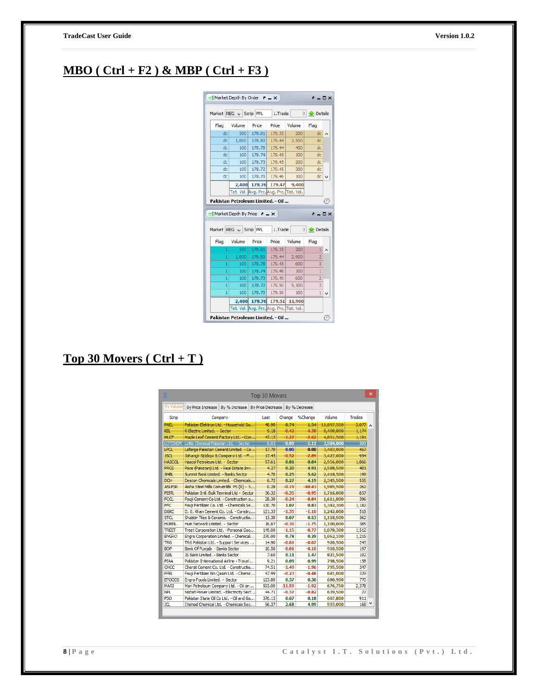#### **MBO ( Ctrl + F2 ) & MBP ( Ctrl + F3 )**

| Market Depth By Order $X = X$                        |                        |                                         |         |                | ≀ – □ ×               |   |  |  |  |
|------------------------------------------------------|------------------------|-----------------------------------------|---------|----------------|-----------------------|---|--|--|--|
|                                                      | Market REG v Scrip PPL |                                         | L.Trade |                | $0 \triangle$ Details |   |  |  |  |
| Flag                                                 | Volume                 | Price                                   | Price   | Volume         | Flag                  |   |  |  |  |
| dc                                                   | 500                    | 178.81                                  | 179.35  | 200            | $dc $ $\wedge$        |   |  |  |  |
| dc                                                   | 1,000                  | 178.80                                  | 179.44  | 2,500          | dc                    |   |  |  |  |
| dc                                                   | 100                    | 178.78                                  | 179.44  | 400            | dc                    |   |  |  |  |
| de                                                   | 100                    | 178.74                                  | 179.45  | 100            | dc                    |   |  |  |  |
| de                                                   | 100                    | 178.73                                  | 179.45  | 200            | dc                    |   |  |  |  |
| dc                                                   | 100                    | 178.72                                  | 179.45  | 300            | dc                    |   |  |  |  |
| dc                                                   | 100                    | 178.70                                  | 179.46  | 100            | dc                    |   |  |  |  |
|                                                      | 2,400                  | 178.76                                  | 179.47  | 9,400          |                       |   |  |  |  |
|                                                      |                        | Tot. Vol. Avg. Prc. Avg. Prc. Tot. Vol. |         |                |                       |   |  |  |  |
|                                                      |                        |                                         |         |                |                       | Œ |  |  |  |
| Pakistan Petroleum Limited. - Oil                    |                        |                                         |         |                |                       |   |  |  |  |
|                                                      |                        |                                         |         |                |                       |   |  |  |  |
| $\blacksquare$ Market Depth By Price $\ell = \times$ |                        |                                         |         |                | ≀ – □ ×               |   |  |  |  |
|                                                      |                        |                                         |         |                |                       |   |  |  |  |
|                                                      | Market REG v Scrip PPL |                                         | L.Trade | $\overline{0}$ | <b>C</b> Details      |   |  |  |  |
| Flag                                                 | Volume                 | Price                                   | Price   | Volume         | Flag                  |   |  |  |  |
| 1                                                    | 500                    | 178.81                                  | 179.35  | 200            | 1                     |   |  |  |  |
| 1                                                    | 1,000                  | 178.80                                  | 179.44  | 2,900          | $\overline{2}$        |   |  |  |  |
| 1                                                    | 100                    | 178.78                                  | 179.45  | 600            | 3                     |   |  |  |  |
| 1                                                    | 100                    | 178.74                                  | 179.46  | 100            | $\mathbf{1}$          |   |  |  |  |
| 1                                                    | 100 <sup>1</sup>       | 178.73                                  | 179.49  | 600            | $\overline{c}$        |   |  |  |  |
| 1                                                    | 100                    | 178.72                                  | 179.50  | 5,100          | $\overline{2}$        |   |  |  |  |
| 1                                                    | 100                    | 178.70                                  | 179.56  | 100            | 1                     |   |  |  |  |
|                                                      |                        | 2,400 178.76                            | 179.51  | 11,900         |                       |   |  |  |  |
|                                                      |                        | Tot. Vol. Avg. Prc. Avg. Prc. Tot. Vol. |         |                |                       |   |  |  |  |

#### **Top 30 Movers ( Ctrl + T )**

|                |                                               |               | <b>Top 30 Movers</b>              |          |          |            |               |   |
|----------------|-----------------------------------------------|---------------|-----------------------------------|----------|----------|------------|---------------|---|
|                | By Volume   By Price Increase                 | By % Increase | By Price Decrease   By % Decrease |          |          |            |               |   |
| Scrip          | Company                                       |               | Last                              | Change   | %Change  | Volume     | <b>Trades</b> |   |
| <b>PAEL</b>    | Pakistan Elektron Ltd. - Household Go         |               | 48.90                             | 0.74     | 1.54     | 11,897,500 | 3.077         | ٨ |
| KEI.           | K-Electric Limited. - Sector                  |               | 9.18                              | $-0.42$  | $-4.38$  | 8.400.000  | 1.174         |   |
| <b>MLCF</b>    | Maple Leaf Cement Factory Ltd. - Con          |               | 47.13                             | $-1.27$  | $-2.62$  | 4.851.500  | 1.191         |   |
|                | LOTCHEM Lotte Chemical Pakistan Ltd. - Sector |               | 8.03                              | $-0.09$  | $-1.11$  | 3,584,000  | 509           |   |
| <b>LPCL</b>    | Lafarge Pakistan Cement Limited. - Co         |               | 17.70                             | 0.00     | 0.00     | 3,483,000  | 457           |   |
| <b>ISCL</b>    | Jahangir Siddigui & Company Ltd. - Fi         |               | 17.45                             | $-0.52$  | $-2.89$  | 3,427,000  | 954           |   |
| <b>HASCOL</b>  | Hascol Petroleum Ltd. - Sector                |               | 97.61                             | 0.81     | 0.84     | 2,956,000  | 1.866         |   |
| <b>PACE</b>    | Pace (Pakistan) Ltd. - Real Estate Inv        |               | 4.27                              | 0.20     | 4.91     | 2,588,500  | 401           |   |
| <b>SMBL</b>    | Summit Bank Limited. - Banks Sector           |               | 4.70                              | 0.25     | 5.62     | 2,418,500  | 199           |   |
| <b>DCH</b>     | Descon Chemicals Limited. - Chemicals         |               | 6.72                              | 0.27     | 4.19     | 2,345,500  | 555           |   |
| <b>ASI PSR</b> | Aisha Steel Mills Convertibl PS (R) - S       |               | 0.28                              | $-0.19$  | $-40.43$ | 1.985.500  | 262           |   |
| PIBTI.         | Pakistan Intl. Bulk Terminal Ltd - Sector     |               | 36.32                             | $-0.35$  | $-0.95$  | 1.716.000  | 857           |   |
| <b>FCCL</b>    | Fauji Cement Co Ltd. - Construction a         |               | 28.30                             | $-0.24$  | $-0.84$  | 1,611,000  | 396           |   |
| <b>FFC</b>     | Fauji Fertilizer Co. Ltd. - Chemicals Se      |               | 130.70                            | 1.07     | 0.83     | 1,342,300  | 1,182         |   |
| DGKC.          | D. G. Khan Cement Co. Ltd. - Constru          |               | 121.35                            | $-1.35$  | $-1.10$  | 1,242,000  | 518           |   |
| STCL.          | Shabbir Tiles & Ceramis. - Constructio        |               | 13.30                             | 0.07     | 0.53     | 1,118,500  | 362           |   |
| <b>HUMNL</b>   | Hum Network Limited. - Sector                 |               | 16.87                             | $-0.30$  | $-1.75$  | 1.100.000  | 385           |   |
| <b>TREET</b>   | Treet Corporation Ltd. - Personal Goo         |               | 149.00                            | $-1.15$  | $-0.77$  | 1,078,300  | 1,512         |   |
| <b>FNGRO</b>   | Engro Corporation Limited. - Chemical         |               | 270.00                            | 0.78     | 0.29     | 1,062,100  | 1,215         |   |
| <b>TRG</b>     | TRG Pakistan Ltd. - Support Services          |               | 14.90                             | $-0.01$  | $-0.07$  | 920.500    | 243           |   |
| <b>BOP</b>     | Bank Of Punjab. - Banks Sector                |               | 10.50                             | $-0.01$  | $-0.10$  | 910.500    | 197           |   |
| <b>JSBL</b>    | <b>JS Bank Limited. - Banks Sector</b>        |               | 7.60                              | 0.11     | 1.47     | 821,500    | 102           |   |
| ΡΙΑΑ           | Pakistan International Airline - Travel       |               | 9.21                              | 0.09     | 0.99     | 798,500    | 158           |   |
| <b>CHCC</b>    | Cherat Cement Co. Ltd. - Constructio          |               | 74.51                             | $-1.49$  | $-1.96$  | 795,500    | 347           |   |
| FFBL           | Fauji Fertilizer Bin Qasim Ltd. - Chemic      |               | 47.99                             | $-0.23$  | $-0.48$  | 681.000    | 329           |   |
| <b>EFOODS</b>  | Engro Foods Limited. - Sector                 |               | 123.80                            | 0.37     | 0.30     | 680.900    | 770           |   |
| <b>MARI</b>    | Mari Petroleum Company Ltd. - Oil an          |               | 593.00                            | $-11.59$ | $-1.92$  | 676.750    | 2,378         |   |
| <b>NPL</b>     | Nishat Power Limited. - Electricity Sect      |               | 44.71                             | $-0.37$  | $-0.82$  | 639,500    | 27            |   |
| <b>PSO</b>     | Pakistan State Oil Co Ltd. - Oil and Ga       |               | 376.15                            | 0.67     | 0.18     | 607,800    | 911           |   |
| ICL.           | Ittehad Chemical Ltd. - Chemicals Sec         |               | 56.37                             | 2.68     | 4.99     | 593.000    | 168           |   |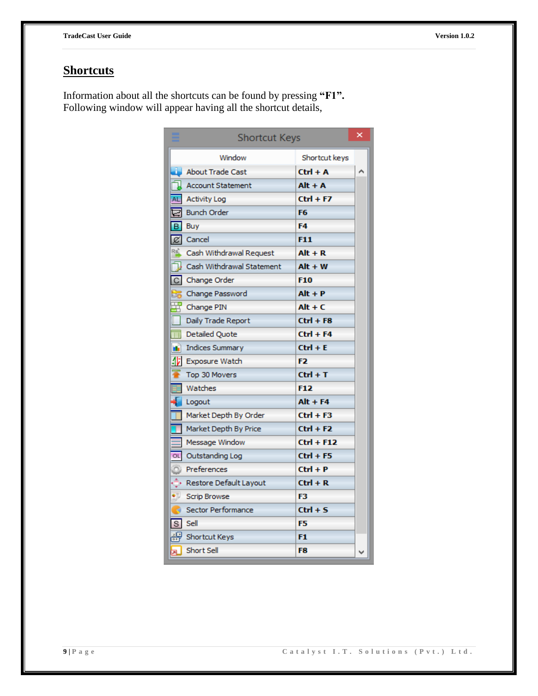#### **Shortcuts**

Information about all the shortcuts can be found by pressing **"F1".** Following window will appear having all the shortcut details,

|                                      | <b>Shortcut Keys</b>         |               | × |
|--------------------------------------|------------------------------|---------------|---|
|                                      | Window                       | Shortcut keys |   |
| d,                                   | <b>About Trade Cast</b>      | $Ctrl + A$    | ۸ |
| ı                                    | <b>Account Statement</b>     | $Alt + A$     |   |
|                                      | AL Activity Log              | Ctrl + F7     |   |
|                                      | $\sqrt{2}$ Bunch Order       | F6            |   |
| $\overline{B}$                       | Buy                          | F4            |   |
|                                      | $\boxed{\mathcal{Q}}$ Cancel | F11           |   |
| $R_{\underline{S}_1}^{\phantom{S}b}$ | Cash Withdrawal Request      | Alt + R       |   |
|                                      | Cash Withdrawal Statement    | $Alt + W$     |   |
| $\mathbf C$                          | Change Order                 | <b>F10</b>    |   |
| B                                    | Change Password              | Alt + P       |   |
|                                      | <sup>1</sup> Change PIN      | $Alt + C$     |   |
| L                                    | Daily Trade Report           | $Ctrl + F8$   |   |
| ⊞                                    | Detailed Quote               | Ctrl + F4     |   |
| H.                                   | <b>Indices Summary</b>       | $Ctrl + E$    |   |
| 4þ                                   | <b>Exposure Watch</b>        | F2            |   |
|                                      | Top 30 Movers                | $Ctrl + T$    |   |
|                                      | Watches                      | F12           |   |
| C                                    | Logout                       | $Alt + F4$    |   |
|                                      | Market Depth By Order        | $Ctrl + F3$   |   |
| ī                                    | Market Depth By Price        | Ctrl + F2     |   |
|                                      | Message Window               | $Ctrl + F12$  |   |
| OL                                   | Outstanding Log              | $Ctrl + F5$   |   |
| o                                    | Preferences                  | $Ctrl + P$    |   |
| Ŷ                                    | Restore Default Layout       | Ctrl + R      |   |
| 5                                    | Scrip Browse                 | F3            |   |
| B                                    | <b>Sector Performance</b>    | Ctrl + S      |   |
| $\mathbb S$                          | -Sell                        | F5            |   |
|                                      | A Shortcut Keys              | F1            |   |
| പ                                    | Short Sell                   | F8            |   |